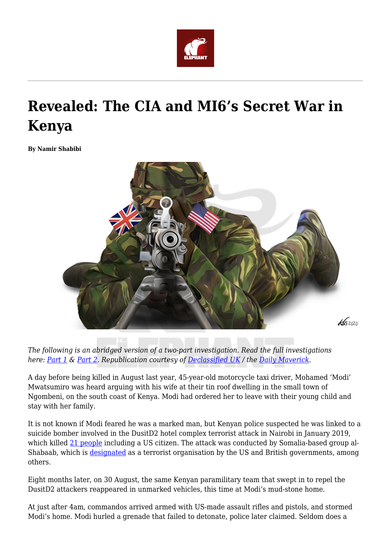

# **Revealed: The CIA and MI6's Secret War in Kenya**

**By Namir Shabibi**



*The following is an abridged version of a two-part investigation. Read the full investigations here: [Part 1](https://www.dailymaverick.co.za/article/2020-08-28-revealed-the-cia-and-mi6s-secret-war-in-kenya/) & [Part 2](https://www.dailymaverick.co.za/article/2020-08-28-the-militarisation-of-us-africa-policy-how-the-cia-came-to-lead-deadly-counter-terrorism-operations-in-kenya/). Republication courtesy of [Declassified UK](https://twitter.com/declassifiedUK) / the [Daily Maverick.](https://twitter.com/dailymaverick)*

A day before being killed in August last year, 45-year-old motorcycle taxi driver, Mohamed 'Modi' Mwatsumiro was heard arguing with his wife at their tin roof dwelling in the small town of Ngombeni, on the south coast of Kenya. Modi had ordered her to leave with their young child and stay with her family.

It is not known if Modi feared he was a marked man, but Kenyan police suspected he was linked to a suicide bomber involved in the DusitD2 hotel complex terrorist attack in Nairobi in January 2019, which killed [21 people](https://www.bbc.com/news/world-africa-46888682) including a US citizen. The attack was conducted by Somalia-based group al-Shabaab, which is [designated](https://www.state.gov/foreign-terrorist-organizations/) as a terrorist organisation by the US and British governments, among others.

Eight months later, on 30 August, the same Kenyan paramilitary team that swept in to repel the DusitD2 attackers reappeared in unmarked vehicles, this time at Modi's mud-stone home.

At just after 4am, commandos arrived armed with US-made assault rifles and pistols, and stormed Modi's home. Modi hurled a grenade that failed to detonate, police later claimed. Seldom does a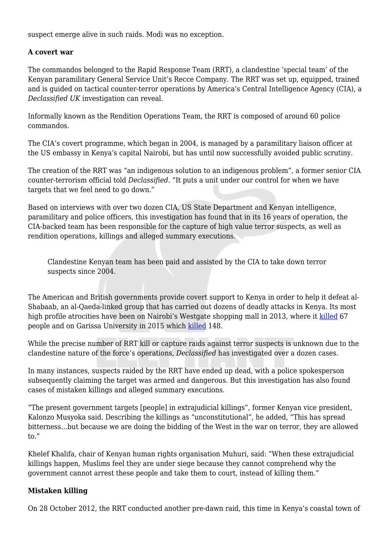suspect emerge alive in such raids. Modi was no exception.

### **A covert war**

The commandos belonged to the Rapid Response Team (RRT), a clandestine 'special team' of the Kenyan paramilitary General Service Unit's Recce Company. The RRT was set up, equipped, trained and is guided on tactical counter-terror operations by America's Central Intelligence Agency (CIA), a *Declassified UK* investigation can reveal.

Informally known as the Rendition Operations Team, the RRT is composed of around 60 police commandos.

The CIA's covert programme, which began in 2004, is managed by a paramilitary liaison officer at the US embassy in Kenya's capital Nairobi, but has until now successfully avoided public scrutiny.

The creation of the RRT was "an indigenous solution to an indigenous problem", a former senior CIA counter-terrorism official told *Declassified*. "It puts a unit under our control for when we have targets that we feel need to go down."

Based on interviews with over two dozen CIA, US State Department and Kenyan intelligence, paramilitary and police officers, this investigation has found that in its 16 years of operation, the CIA-backed team has been responsible for the capture of high value terror suspects, as well as rendition operations, killings and alleged summary executions.

Clandestine Kenyan team has been paid and assisted by the CIA to take down terror suspects since 2004.

The American and British governments provide covert support to Kenya in order to help it defeat al-Shabaab, an al-Qaeda-linked group that has carried out dozens of deadly attacks in Kenya. Its most high profile atrocities have been on Nairobi's Westgate shopping mall in 2013, where it [killed](https://www.theguardian.com/world/2013/oct/04/westgate-mall-attacks-kenya) 67 people and on Garissa University in 2015 which [killed](https://www.bbc.co.uk/news/world-africa-48621924) 148.

While the precise number of RRT kill or capture raids against terror suspects is unknown due to the clandestine nature of the force's operations, *Declassified* has investigated over a dozen cases.

In many instances, suspects raided by the RRT have ended up dead, with a police spokesperson subsequently claiming the target was armed and dangerous. But this investigation has also found cases of mistaken killings and alleged summary executions.

"The present government targets [people] in extrajudicial killings", former Kenyan vice president, Kalonzo Musyoka said. Describing the killings as "unconstitutional", he added, "This has spread bitterness…but because we are doing the bidding of the West in the war on terror, they are allowed to."

Khelef Khalifa, chair of Kenyan human rights organisation Muhuri, said: "When these extrajudicial killings happen, Muslims feel they are under siege because they cannot comprehend why the government cannot arrest these people and take them to court, instead of killing them."

#### **Mistaken killing**

On 28 October 2012, the RRT conducted another pre-dawn raid, this time in Kenya's coastal town of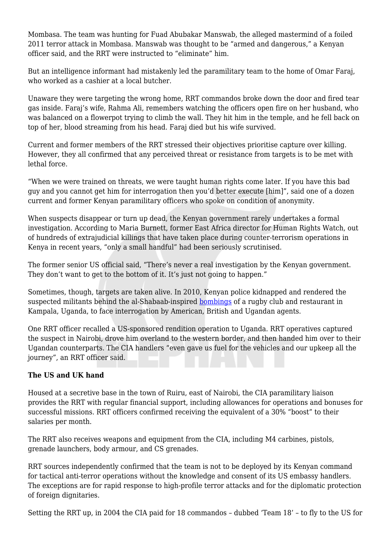Mombasa. The team was hunting for Fuad Abubakar Manswab, the alleged mastermind of a foiled 2011 terror attack in Mombasa. Manswab was thought to be "armed and dangerous," a Kenyan officer said, and the RRT were instructed to "eliminate" him.

But an intelligence informant had mistakenly led the paramilitary team to the home of Omar Faraj, who worked as a cashier at a local butcher.

Unaware they were targeting the wrong home, RRT commandos broke down the door and fired tear gas inside. Faraj's wife, Rahma Ali, remembers watching the officers open fire on her husband, who was balanced on a flowerpot trying to climb the wall. They hit him in the temple, and he fell back on top of her, blood streaming from his head. Faraj died but his wife survived.

Current and former members of the RRT stressed their objectives prioritise capture over killing. However, they all confirmed that any perceived threat or resistance from targets is to be met with lethal force.

"When we were trained on threats, we were taught human rights come later. If you have this bad guy and you cannot get him for interrogation then you'd better execute [him]", said one of a dozen current and former Kenyan paramilitary officers who spoke on condition of anonymity.

When suspects disappear or turn up dead, the Kenyan government rarely undertakes a formal investigation. According to Maria Burnett, former East Africa director for Human Rights Watch, out of hundreds of extrajudicial killings that have taken place during counter-terrorism operations in Kenya in recent years, "only a small handful" had been seriously scrutinised.

The former senior US official said, "There's never a real investigation by the Kenyan government. They don't want to get to the bottom of it. It's just not going to happen."

Sometimes, though, targets are taken alive. In 2010, Kenyan police kidnapped and rendered the suspected militants behind the al-Shabaab-inspired [bombings](https://www.bbc.co.uk/news/10593771) of a rugby club and restaurant in Kampala, Uganda, to face interrogation by American, British and Ugandan agents.

One RRT officer recalled a US-sponsored rendition operation to Uganda. RRT operatives captured the suspect in Nairobi, drove him overland to the western border, and then handed him over to their Ugandan counterparts. The CIA handlers "even gave us fuel for the vehicles and our upkeep all the journey", an RRT officer said.

## **The US and UK hand**

Housed at a secretive base in the town of Ruiru, east of Nairobi, the CIA paramilitary liaison provides the RRT with regular financial support, including allowances for operations and bonuses for successful missions. RRT officers confirmed receiving the equivalent of a 30% "boost" to their salaries per month.

The RRT also receives weapons and equipment from the CIA, including M4 carbines, pistols, grenade launchers, body armour, and CS grenades.

RRT sources independently confirmed that the team is not to be deployed by its Kenyan command for tactical anti-terror operations without the knowledge and consent of its US embassy handlers. The exceptions are for rapid response to high-profile terror attacks and for the diplomatic protection of foreign dignitaries.

Setting the RRT up, in 2004 the CIA paid for 18 commandos – dubbed 'Team 18' – to fly to the US for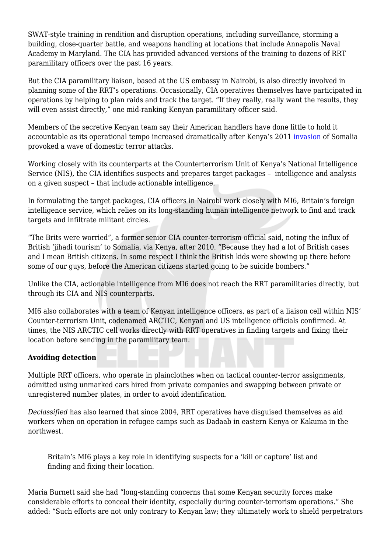SWAT-style training in rendition and disruption operations, including surveillance, storming a building, close-quarter battle, and weapons handling at locations that include Annapolis Naval Academy in Maryland. The CIA has provided advanced versions of the training to dozens of RRT paramilitary officers over the past 16 years.

But the CIA paramilitary liaison, based at the US embassy in Nairobi, is also directly involved in planning some of the RRT's operations. Occasionally, CIA operatives themselves have participated in operations by helping to plan raids and track the target. "If they really, really want the results, they will even assist directly," one mid-ranking Kenyan paramilitary officer said.

Members of the secretive Kenyan team say their American handlers have done little to hold it accountable as its operational tempo increased dramatically after Kenya's 2011 [invasion](https://www.foreignaffairs.com/articles/africa/2011-11-15/why-kenya-invaded-somalia) of Somalia provoked a wave of domestic terror attacks.

Working closely with its counterparts at the Counterterrorism Unit of Kenya's National Intelligence Service (NIS), the CIA identifies suspects and prepares target packages – intelligence and analysis on a given suspect – that include actionable intelligence.

In formulating the target packages, CIA officers in Nairobi work closely with MI6, Britain's foreign intelligence service, which relies on its long-standing human intelligence network to find and track targets and infiltrate militant circles.

"The Brits were worried", a former senior CIA counter-terrorism official said, noting the influx of British 'jihadi tourism' to Somalia, via Kenya, after 2010. "Because they had a lot of British cases and I mean British citizens. In some respect I think the British kids were showing up there before some of our guys, before the American citizens started going to be suicide bombers."

Unlike the CIA, actionable intelligence from MI6 does not reach the RRT paramilitaries directly, but through its CIA and NIS counterparts.

MI6 also collaborates with a team of Kenyan intelligence officers, as part of a liaison cell within NIS' Counter-terrorism Unit, codenamed ARCTIC, Kenyan and US intelligence officials confirmed. At times, the NIS ARCTIC cell works directly with RRT operatives in finding targets and fixing their location before sending in the paramilitary team.

#### **Avoiding detection**

Multiple RRT officers, who operate in plainclothes when on tactical counter-terror assignments, admitted using unmarked cars hired from private companies and swapping between private or unregistered number plates, in order to avoid identification.

*Declassified* has also learned that since 2004, RRT operatives have disguised themselves as aid workers when on operation in refugee camps such as Dadaab in eastern Kenya or Kakuma in the northwest.

Britain's MI6 plays a key role in identifying suspects for a 'kill or capture' list and finding and fixing their location.

Maria Burnett said she had "long-standing concerns that some Kenyan security forces make considerable efforts to conceal their identity, especially during counter-terrorism operations." She added: "Such efforts are not only contrary to Kenyan law; they ultimately work to shield perpetrators